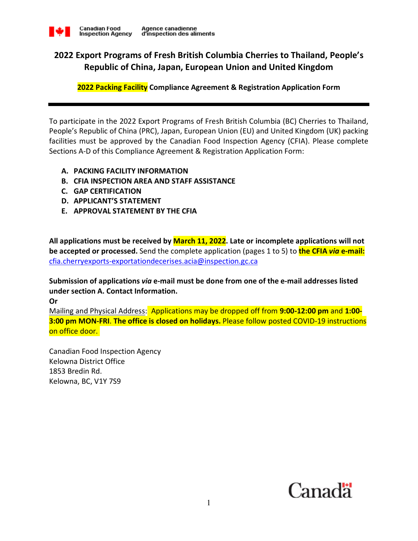

# **2022 Export Programs of Fresh British Columbia Cherries to Thailand, People's Republic of China, Japan, European Union and United Kingdom**

**2022 Packing Facility Compliance Agreement & Registration Application Form**

To participate in the 2022 Export Programs of Fresh British Columbia (BC) Cherries to Thailand, People's Republic of China (PRC), Japan, European Union (EU) and United Kingdom (UK) packing facilities must be approved by the Canadian Food Inspection Agency (CFIA). Please complete Sections A-D of this Compliance Agreement & Registration Application Form:

### **A. PACKING FACILITY INFORMATION**

- **B. CFIA INSPECTION AREA AND STAFF ASSISTANCE**
- **C. GAP CERTIFICATION**
- **D. APPLICANT'S STATEMENT**
- **E. APPROVAL STATEMENT BY THE CFIA**

**All applications must be received by March 11, 2022. Late or incomplete applications will not be accepted or processed.** Send the complete application (pages 1 to 5) to **the CFIA** *via* **e-mail:** cfia.cherryexports-exportationdecerises.acia@inspection.gc.ca

**Submission of applications** *via* **e-mail must be done from one of the e-mail addresses listed under section A. Contact Information.** 

**Or** 

Mailing and Physical Address: Applications may be dropped off from **9:00-12:00 pm** and **1:00- 3:00 pm MON-FRI**. **The office is closed on holidays.** Please follow posted COVID-19 instructions on office door.

Canadian Food Inspection Agency Kelowna District Office 1853 Bredin Rd. Kelowna, BC, V1Y 7S9

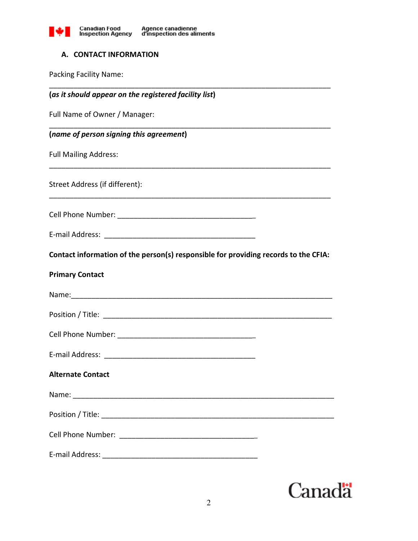

# **A. CONTACT INFORMATION**

Packing Facility Name:

| (as it should appear on the registered facility list)                               |
|-------------------------------------------------------------------------------------|
| Full Name of Owner / Manager:                                                       |
| (name of person signing this agreement)                                             |
| <b>Full Mailing Address:</b>                                                        |
| Street Address (if different):                                                      |
|                                                                                     |
|                                                                                     |
| Contact information of the person(s) responsible for providing records to the CFIA: |
| <b>Primary Contact</b>                                                              |
|                                                                                     |
|                                                                                     |
|                                                                                     |
|                                                                                     |
| <b>Alternate Contact</b>                                                            |
|                                                                                     |
|                                                                                     |
|                                                                                     |
|                                                                                     |

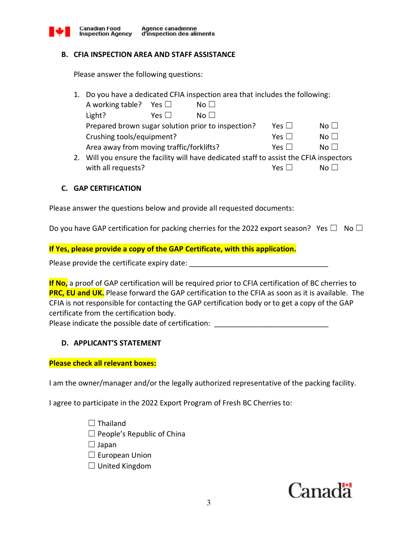

### **B. CFIA INSPECTION AREA AND STAFF ASSISTANCE**

Please answer the following questions:

|  | 1. Do you have a dedicated CFIA inspection area that includes the following: |  |
|--|------------------------------------------------------------------------------|--|
|--|------------------------------------------------------------------------------|--|

| A working table?                                   | Yes $\Box$          | No <sub>1</sub>                                                                     |                     |                 |
|----------------------------------------------------|---------------------|-------------------------------------------------------------------------------------|---------------------|-----------------|
| Light?                                             | Yes II              | $N \cap$ $\Box$                                                                     |                     |                 |
| Prepared brown sugar solution prior to inspection? | Yes $\vert \ \vert$ | $N_O$ $\perp$                                                                       |                     |                 |
| Crushing tools/equipment?                          |                     |                                                                                     | Yes $\vert \ \vert$ | $N_O$           |
| Area away from moving traffic/forklifts?           |                     |                                                                                     | $Yes \mid$          | $N \cap$ $\Box$ |
|                                                    |                     | Will you onsure the facility will have dedicated staff to assist the CELA inspector |                     |                 |

2. Will you ensure the facility will have dedicated staff to assist the CFIA inspectors with all requests?  $\Box$  No  $\Box$ 

## **C. GAP CERTIFICATION**

Please answer the questions below and provide all requested documents:

Do you have GAP certification for packing cherries for the 2022 export season? Yes  $\Box$  No  $\Box$ 

## **If Yes, please provide a copy of the GAP Certificate, with this application.**

Please provide the certificate expiry date: \_\_\_\_\_\_\_\_\_\_\_\_\_\_\_\_\_\_\_\_\_\_\_\_\_\_\_\_\_\_\_\_\_\_

**If No,** a proof of GAP certification will be required prior to CFIA certification of BC cherries to **PRC, EU and UK.** Please forward the GAP certification to the CFIA as soon as it is available. The CFIA is not responsible for contacting the GAP certification body or to get a copy of the GAP certificate from the certification body.

Please indicate the possible date of certification: \_\_\_\_\_\_\_\_\_\_\_\_\_\_\_\_\_\_\_\_\_\_\_\_\_\_\_\_

# **D. APPLICANT'S STATEMENT**

### **Please check all relevant boxes:**

I am the owner/manager and/or the legally authorized representative of the packing facility.

I agree to participate in the 2022 Export Program of Fresh BC Cherries to:

- $\Box$  Thailand
- $\Box$  People's Republic of China

 $\Box$  Japan

- $\Box$  European Union
- $\Box$  United Kingdom

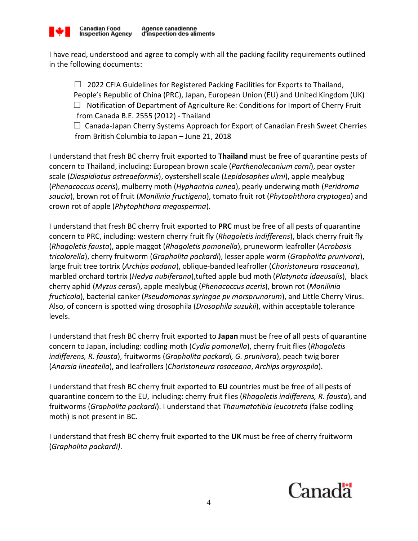

I have read, understood and agree to comply with all the packing facility requirements outlined in the following documents:

 $\Box$  2022 CFIA Guidelines for Registered Packing Facilities for Exports to Thailand, People's Republic of China (PRC), Japan, European Union (EU) and United Kingdom (UK)  $\Box$  Notification of Department of Agriculture Re: Conditions for Import of Cherry Fruit from Canada B.E. 2555 (2012) - Thailand

 $\Box$  Canada-Japan Cherry Systems Approach for Export of Canadian Fresh Sweet Cherries from British Columbia to Japan – June 21, 2018

I understand that fresh BC cherry fruit exported to **Thailand** must be free of quarantine pests of concern to Thailand, including: European brown scale (*Parthenolecanium corni*), pear oyster scale (*Diaspidiotus ostreaeformis*), oystershell scale (*Lepidosaphes ulmi*), apple mealybug (*Phenacoccus aceris*), mulberry moth (*Hyphantria cunea*), pearly underwing moth (*Peridroma saucia*), brown rot of fruit (*Monilinia fructigena*), tomato fruit rot (*Phytophthora cryptogea*) and crown rot of apple (*Phytophthora megasperma*).

I understand that fresh BC cherry fruit exported to **PRC** must be free of all pests of quarantine concern to PRC, including: western cherry fruit fly (*Rhagoletis indifferens*), black cherry fruit fly (*Rhagoletis fausta*), apple maggot (*Rhagoletis pomonella*), pruneworm leafroller (*Acrobasis tricolorella*), cherry fruitworm (*Grapholita packardi*), lesser apple worm (*Grapholita prunivora*), large fruit tree tortrix (*Archips podana*), oblique-banded leafroller (*Choristoneura rosaceana*), marbled orchard tortrix (*Hedya nubiferana*),tufted apple bud moth (*Platynota idaeusalis*), black cherry aphid (*Myzus cerasi*), apple mealybug (*Phenacoccus aceris*), brown rot (*Monilinia fructicola*), bacterial canker (*Pseudomonas syringae pv morsprunorum*), and Little Cherry Virus. Also, of concern is spotted wing drosophila (*Drosophila suzukii*), within acceptable tolerance levels.

I understand that fresh BC cherry fruit exported to **Japan** must be free of all pests of quarantine concern to Japan, including: codling moth (*Cydia pomonella*), cherry fruit flies (*Rhagoletis indifferens, R. fausta*), fruitworms (*Grapholita packardi, G. prunivora*), peach twig borer (*Anarsia lineatella*), and leafrollers (*Choristoneura rosaceana*, *Archips argyrospila*).

I understand that fresh BC cherry fruit exported to **EU** countries must be free of all pests of quarantine concern to the EU, including: cherry fruit flies (*Rhagoletis indifferens, R. fausta*), and fruitworms (*Grapholita packardi*). I understand that *Thaumatotibia leucotreta* (false codling moth) is not present in BC.

I understand that fresh BC cherry fruit exported to the **UK** must be free of cherry fruitworm (*Grapholita packardi)*.